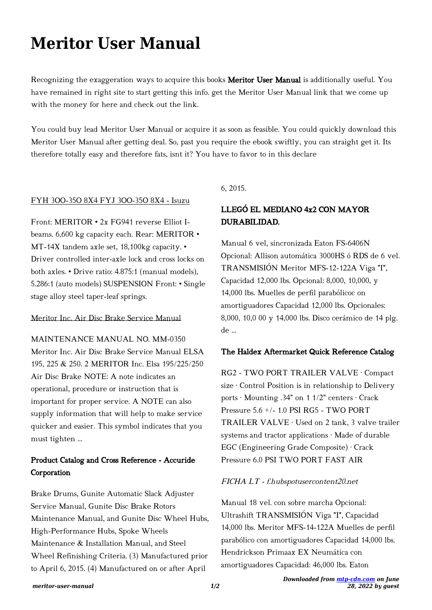# **Meritor User Manual**

Recognizing the exaggeration ways to acquire this books Meritor User Manual is additionally useful. You have remained in right site to start getting this info. get the Meritor User Manual link that we come up with the money for here and check out the link.

You could buy lead Meritor User Manual or acquire it as soon as feasible. You could quickly download this Meritor User Manual after getting deal. So, past you require the ebook swiftly, you can straight get it. Its therefore totally easy and therefore fats, isnt it? You have to favor to in this declare

### FYH 3OO-35O 8X4 FYJ 3OO-35O 8X4 - Isuzu

Front: MERITOR • 2x FG941 reverse Elliot Ibeams. 6,600 kg capacity each. Rear: MERITOR • MT-14X tandem axle set, 18,100kg capacity. • Driver controlled inter-axle lock and cross locks on both axles. • Drive ratio: 4.875:1 (manual models), 5.286:1 (auto models) SUSPENSION Front: • Single stage alloy steel taper-leaf springs.

## Meritor Inc. Air Disc Brake Service Manual

MAINTENANCE MANUAL NO. MM-0350 Meritor Inc. Air Disc Brake Service Manual ELSA 195, 225 & 250. 2 MERITOR Inc. Elsa 195/225/250 Air Disc Brake NOTE: A note indicates an operational, procedure or instruction that is important for proper service. A NOTE can also supply information that will help to make service quicker and easier. This symbol indicates that you must tighten …

## Product Catalog and Cross Reference - Accuride Corporation

Brake Drums, Gunite Automatic Slack Adjuster Service Manual, Gunite Disc Brake Rotors Maintenance Manual, and Gunite Disc Wheel Hubs, High-Performance Hubs, Spoke Wheels Maintenance & Installation Manual, and Steel Wheel Refinishing Criteria. (3) Manufactured prior to April 6, 2015. (4) Manufactured on or after April

6, 2015.

## LLEGÓ EL MEDIANO 4x2 CON MAYOR DURABILIDAD.

Manual 6 vel, sincronizada Eaton FS-6406N Opcional: Allison automática 3000HS ó RDS de 6 vel. TRANSMISIÓN Meritor MFS-12-122A Viga "I", Capacidad 12,000 lbs. Opcional: 8,000, 10,000, y 14,000 lbs. Muelles de perfil parabólicoc on amortiguadores Capacidad 12,000 lbs. Opcionales: 8,000, 10,0 00 y 14,000 lbs. Disco cerámico de 14 plg. de ...

#### The Haldex Aftermarket Quick Reference Catalog

RG2 - TWO PORT TRAILER VALVE · Compact size · Control Position is in relationship to Delivery ports · Mounting .34" on 1 1/2" centers · Crack Pressure 5.6 +/- 1.0 PSI RG5 - TWO PORT TRAILER VALVE · Used on 2 tank, 3 valve trailer systems and tractor applications · Made of durable EGC (Engineering Grade Composite) · Crack Pressure 6.0 PSI TWO PORT FAST AIR

## FICHA LT - f.hubspotusercontent20.net

Manual 18 vel. con sobre marcha Opcional: Ultrashift TRANSMISIÓN Viga "I", Capacidad 14,000 lbs. Meritor MFS-14-122A Muelles de perfil parabólico con amortiguadores Capacidad 14,000 lbs. Hendrickson Primaax EX Neumática con amortiguadores Capacidad: 46,000 lbs. Eaton